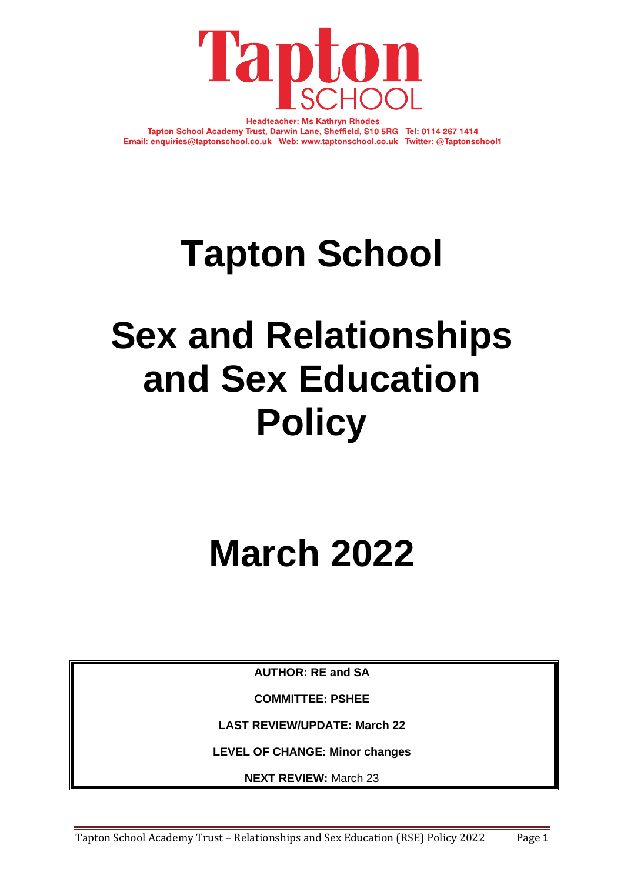

**Headteacher: Ms Kathryn Rhodes** Tapton School Academy Trust, Darwin Lane, Sheffield, S10 5RG Tel: 0114 267 1414 Email: enquiries@taptonschool.co.uk Web: www.taptonschool.co.uk Twitter: @Taptonschool1

# **Tapton School**

# **Sex and Relationships and Sex Education Policy**

# **March 2022**

**AUTHOR: RE and SA**

**COMMITTEE: PSHEE**

**LAST REVIEW/UPDATE: March 22**

**LEVEL OF CHANGE: Minor changes**

**NEXT REVIEW:** March 23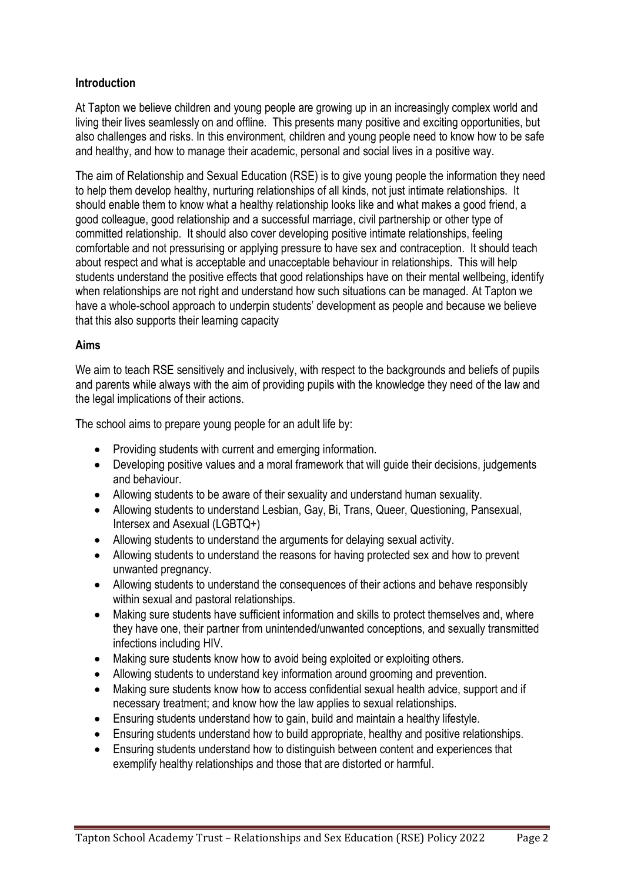### **Introduction**

At Tapton we believe children and young people are growing up in an increasingly complex world and living their lives seamlessly on and offline. This presents many positive and exciting opportunities, but also challenges and risks. In this environment, children and young people need to know how to be safe and healthy, and how to manage their academic, personal and social lives in a positive way.

The aim of Relationship and Sexual Education (RSE) is to give young people the information they need to help them develop healthy, nurturing relationships of all kinds, not just intimate relationships. It should enable them to know what a healthy relationship looks like and what makes a good friend, a good colleague, good relationship and a successful marriage, civil partnership or other type of committed relationship. It should also cover developing positive intimate relationships, feeling comfortable and not pressurising or applying pressure to have sex and contraception. It should teach about respect and what is acceptable and unacceptable behaviour in relationships. This will help students understand the positive effects that good relationships have on their mental wellbeing, identify when relationships are not right and understand how such situations can be managed. At Tapton we have a whole-school approach to underpin students' development as people and because we believe that this also supports their learning capacity

#### **Aims**

We aim to teach RSE sensitively and inclusively, with respect to the backgrounds and beliefs of pupils and parents while always with the aim of providing pupils with the knowledge they need of the law and the legal implications of their actions.

The school aims to prepare young people for an adult life by:

- Providing students with current and emerging information.
- Developing positive values and a moral framework that will quide their decisions, judgements and behaviour.
- Allowing students to be aware of their sexuality and understand human sexuality.
- Allowing students to understand Lesbian, Gay, Bi, Trans, Queer, Questioning, Pansexual, Intersex and Asexual (LGBTQ+)
- Allowing students to understand the arguments for delaying sexual activity.
- Allowing students to understand the reasons for having protected sex and how to prevent unwanted pregnancy.
- Allowing students to understand the consequences of their actions and behave responsibly within sexual and pastoral relationships.
- Making sure students have sufficient information and skills to protect themselves and, where they have one, their partner from unintended/unwanted conceptions, and sexually transmitted infections including HIV.
- Making sure students know how to avoid being exploited or exploiting others.
- Allowing students to understand key information around grooming and prevention.
- Making sure students know how to access confidential sexual health advice, support and if necessary treatment; and know how the law applies to sexual relationships.
- Ensuring students understand how to gain, build and maintain a healthy lifestyle.
- Ensuring students understand how to build appropriate, healthy and positive relationships.
- Ensuring students understand how to distinguish between content and experiences that exemplify healthy relationships and those that are distorted or harmful.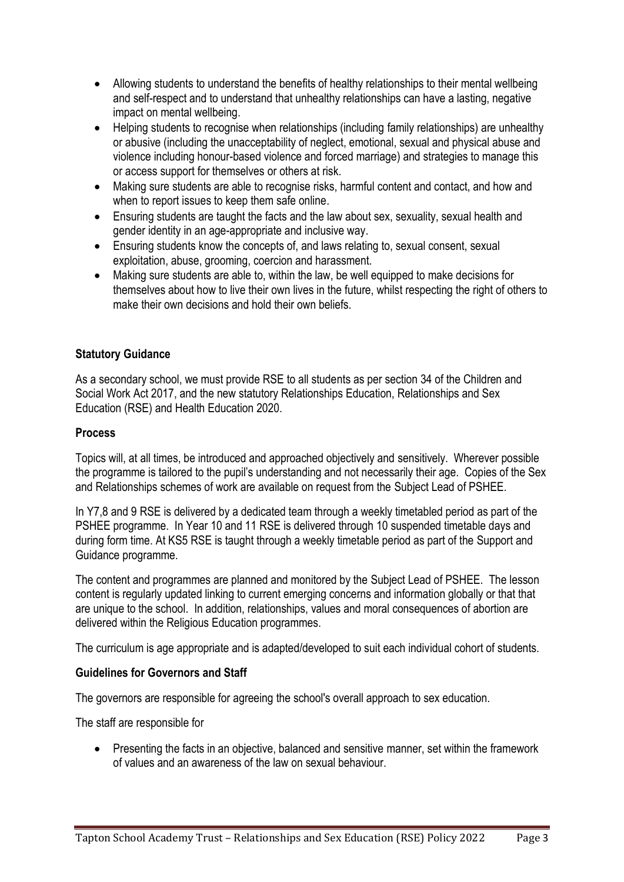- Allowing students to understand the benefits of healthy relationships to their mental wellbeing and self-respect and to understand that unhealthy relationships can have a lasting, negative impact on mental wellbeing.
- Helping students to recognise when relationships (including family relationships) are unhealthy or abusive (including the unacceptability of neglect, emotional, sexual and physical abuse and violence including honour-based violence and forced marriage) and strategies to manage this or access support for themselves or others at risk.
- Making sure students are able to recognise risks, harmful content and contact, and how and when to report issues to keep them safe online.
- Ensuring students are taught the facts and the law about sex, sexuality, sexual health and gender identity in an age-appropriate and inclusive way.
- Ensuring students know the concepts of, and laws relating to, sexual consent, sexual exploitation, abuse, grooming, coercion and harassment.
- Making sure students are able to, within the law, be well equipped to make decisions for themselves about how to live their own lives in the future, whilst respecting the right of others to make their own decisions and hold their own beliefs.

## **Statutory Guidance**

As a secondary school, we must provide RSE to all students as per section 34 of the Children and Social Work Act 2017, and the new statutory Relationships Education, Relationships and Sex Education (RSE) and Health Education 2020.

#### **Process**

Topics will, at all times, be introduced and approached objectively and sensitively. Wherever possible the programme is tailored to the pupil's understanding and not necessarily their age. Copies of the Sex and Relationships schemes of work are available on request from the Subject Lead of PSHEE.

In Y7,8 and 9 RSE is delivered by a dedicated team through a weekly timetabled period as part of the PSHEE programme. In Year 10 and 11 RSE is delivered through 10 suspended timetable days and during form time. At KS5 RSE is taught through a weekly timetable period as part of the Support and Guidance programme.

The content and programmes are planned and monitored by the Subject Lead of PSHEE. The lesson content is regularly updated linking to current emerging concerns and information globally or that that are unique to the school. In addition, relationships, values and moral consequences of abortion are delivered within the Religious Education programmes.

The curriculum is age appropriate and is adapted/developed to suit each individual cohort of students.

#### **Guidelines for Governors and Staff**

The governors are responsible for agreeing the school's overall approach to sex education.

The staff are responsible for

• Presenting the facts in an objective, balanced and sensitive manner, set within the framework of values and an awareness of the law on sexual behaviour.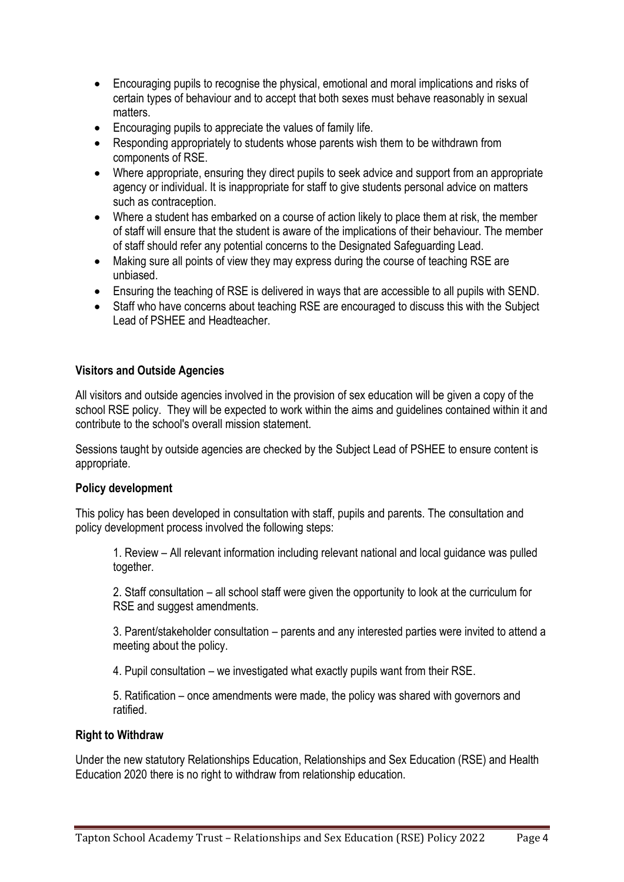- Encouraging pupils to recognise the physical, emotional and moral implications and risks of certain types of behaviour and to accept that both sexes must behave reasonably in sexual matters.
- Encouraging pupils to appreciate the values of family life.
- Responding appropriately to students whose parents wish them to be withdrawn from components of RSE.
- Where appropriate, ensuring they direct pupils to seek advice and support from an appropriate agency or individual. It is inappropriate for staff to give students personal advice on matters such as contraception.
- Where a student has embarked on a course of action likely to place them at risk, the member of staff will ensure that the student is aware of the implications of their behaviour. The member of staff should refer any potential concerns to the Designated Safeguarding Lead.
- Making sure all points of view they may express during the course of teaching RSE are unbiased.
- Ensuring the teaching of RSE is delivered in ways that are accessible to all pupils with SEND.
- Staff who have concerns about teaching RSE are encouraged to discuss this with the Subject Lead of PSHEE and Headteacher.

#### **Visitors and Outside Agencies**

All visitors and outside agencies involved in the provision of sex education will be given a copy of the school RSE policy. They will be expected to work within the aims and guidelines contained within it and contribute to the school's overall mission statement.

Sessions taught by outside agencies are checked by the Subject Lead of PSHEE to ensure content is appropriate.

#### **Policy development**

This policy has been developed in consultation with staff, pupils and parents. The consultation and policy development process involved the following steps:

1. Review – All relevant information including relevant national and local guidance was pulled together.

2. Staff consultation – all school staff were given the opportunity to look at the curriculum for RSE and suggest amendments.

3. Parent/stakeholder consultation – parents and any interested parties were invited to attend a meeting about the policy.

4. Pupil consultation – we investigated what exactly pupils want from their RSE.

5. Ratification – once amendments were made, the policy was shared with governors and ratified.

#### **Right to Withdraw**

Under the new statutory Relationships Education, Relationships and Sex Education (RSE) and Health Education 2020 there is no right to withdraw from relationship education.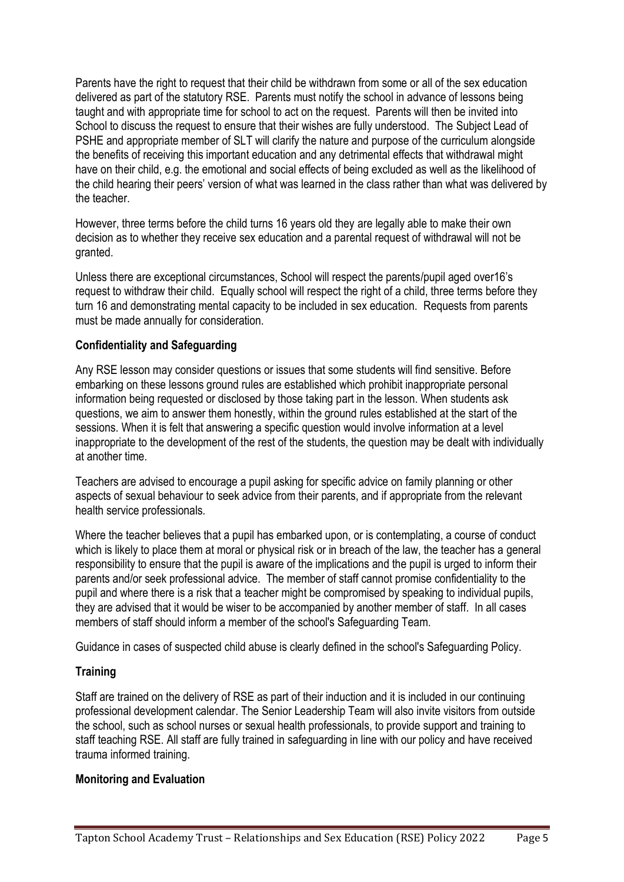Parents have the right to request that their child be withdrawn from some or all of the sex education delivered as part of the statutory RSE. Parents must notify the school in advance of lessons being taught and with appropriate time for school to act on the request. Parents will then be invited into School to discuss the request to ensure that their wishes are fully understood. The Subject Lead of PSHE and appropriate member of SLT will clarify the nature and purpose of the curriculum alongside the benefits of receiving this important education and any detrimental effects that withdrawal might have on their child, e.g. the emotional and social effects of being excluded as well as the likelihood of the child hearing their peers' version of what was learned in the class rather than what was delivered by the teacher.

However, three terms before the child turns 16 years old they are legally able to make their own decision as to whether they receive sex education and a parental request of withdrawal will not be granted.

Unless there are exceptional circumstances, School will respect the parents/pupil aged over16's request to withdraw their child. Equally school will respect the right of a child, three terms before they turn 16 and demonstrating mental capacity to be included in sex education. Requests from parents must be made annually for consideration.

#### **Confidentiality and Safeguarding**

Any RSE lesson may consider questions or issues that some students will find sensitive. Before embarking on these lessons ground rules are established which prohibit inappropriate personal information being requested or disclosed by those taking part in the lesson. When students ask questions, we aim to answer them honestly, within the ground rules established at the start of the sessions. When it is felt that answering a specific question would involve information at a level inappropriate to the development of the rest of the students, the question may be dealt with individually at another time.

Teachers are advised to encourage a pupil asking for specific advice on family planning or other aspects of sexual behaviour to seek advice from their parents, and if appropriate from the relevant health service professionals.

Where the teacher believes that a pupil has embarked upon, or is contemplating, a course of conduct which is likely to place them at moral or physical risk or in breach of the law, the teacher has a general responsibility to ensure that the pupil is aware of the implications and the pupil is urged to inform their parents and/or seek professional advice. The member of staff cannot promise confidentiality to the pupil and where there is a risk that a teacher might be compromised by speaking to individual pupils, they are advised that it would be wiser to be accompanied by another member of staff. In all cases members of staff should inform a member of the school's Safeguarding Team.

Guidance in cases of suspected child abuse is clearly defined in the school's Safeguarding Policy.

# **Training**

Staff are trained on the delivery of RSE as part of their induction and it is included in our continuing professional development calendar. The Senior Leadership Team will also invite visitors from outside the school, such as school nurses or sexual health professionals, to provide support and training to staff teaching RSE. All staff are fully trained in safeguarding in line with our policy and have received trauma informed training.

#### **Monitoring and Evaluation**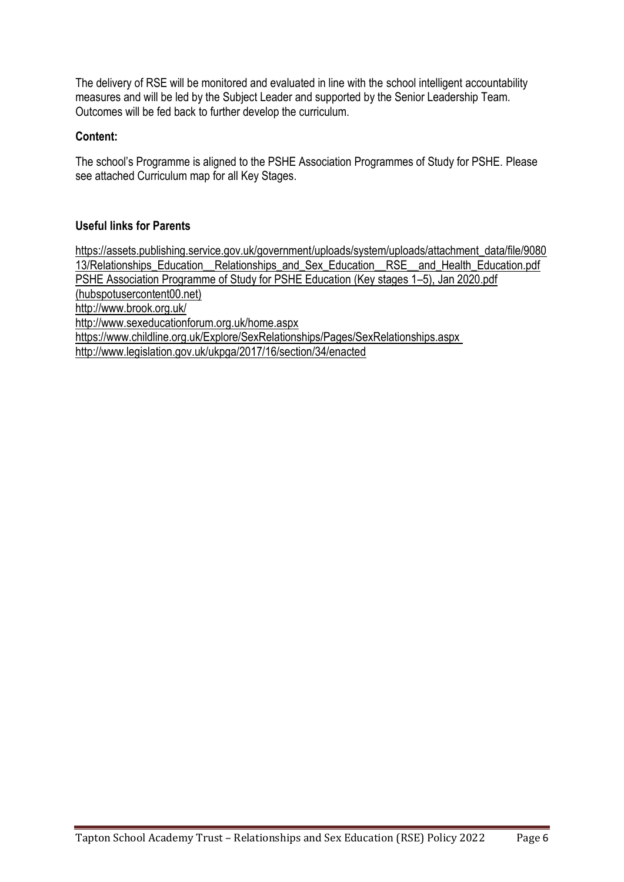The delivery of RSE will be monitored and evaluated in line with the school intelligent accountability measures and will be led by the Subject Leader and supported by the Senior Leadership Team. Outcomes will be fed back to further develop the curriculum.

### **Content:**

The school's Programme is aligned to the PSHE Association Programmes of Study for PSHE. Please see attached Curriculum map for all Key Stages.

## **Useful links for Parents**

[https://assets.publishing.service.gov.uk/government/uploads/system/uploads/attachment\\_data/file/9080](https://assets.publishing.service.gov.uk/government/uploads/system/uploads/attachment_data/file/908013/Relationships_Education__Relationships_and_Sex_Education__RSE__and_Health_Education.pdf) [13/Relationships\\_Education\\_\\_Relationships\\_and\\_Sex\\_Education\\_\\_RSE\\_\\_and\\_Health\\_Education.pdf](https://assets.publishing.service.gov.uk/government/uploads/system/uploads/attachment_data/file/908013/Relationships_Education__Relationships_and_Sex_Education__RSE__and_Health_Education.pdf) [PSHE Association Programme of Study for PSHE Education \(Key stages 1](https://fs.hubspotusercontent00.net/hubfs/20248256/Programme%20of%20Study/PSHE%20Association%20Programme%20of%20Study%20for%20PSHE%20Education%20(Key%20stages%201%E2%80%935)%2c%20Jan%202020.pdf?hsCtaTracking=d718fa8f-77a8-445b-a64e-bb10ca9a52d8%7C90ef65f6-90ab-4e84-af7b-92884c142b27)–5), Jan 2020.pdf [\(hubspotusercontent00.net\)](https://fs.hubspotusercontent00.net/hubfs/20248256/Programme%20of%20Study/PSHE%20Association%20Programme%20of%20Study%20for%20PSHE%20Education%20(Key%20stages%201%E2%80%935)%2c%20Jan%202020.pdf?hsCtaTracking=d718fa8f-77a8-445b-a64e-bb10ca9a52d8%7C90ef65f6-90ab-4e84-af7b-92884c142b27) <http://www.brook.org.uk/> <http://www.sexeducationforum.org.uk/home.aspx> <https://www.childline.org.uk/Explore/SexRelationships/Pages/SexRelationships.aspx> <http://www.legislation.gov.uk/ukpga/2017/16/section/34/enacted>